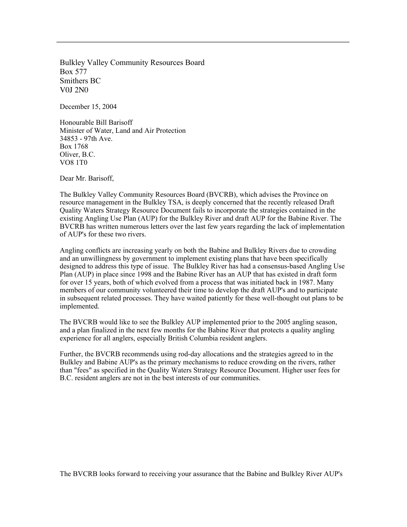Bulkley Valley Community Resources Board Box 577 Smithers BC V0J 2N0

December 15, 2004

Honourable Bill Barisoff Minister of Water, Land and Air Protection 34853 - 97th Ave. Box 1768 Oliver, B.C. VO8 1T0

Dear Mr. Barisoff,

The Bulkley Valley Community Resources Board (BVCRB), which advises the Province on resource management in the Bulkley TSA, is deeply concerned that the recently released Draft Quality Waters Strategy Resource Document fails to incorporate the strategies contained in the existing Angling Use Plan (AUP) for the Bulkley River and draft AUP for the Babine River. The BVCRB has written numerous letters over the last few years regarding the lack of implementation of AUP's for these two rivers.

Angling conflicts are increasing yearly on both the Babine and Bulkley Rivers due to crowding and an unwillingness by government to implement existing plans that have been specifically designed to address this type of issue. The Bulkley River has had a consensus-based Angling Use Plan (AUP) in place since 1998 and the Babine River has an AUP that has existed in draft form for over 15 years, both of which evolved from a process that was initiated back in 1987. Many members of our community volunteered their time to develop the draft AUP's and to participate in subsequent related processes. They have waited patiently for these well-thought out plans to be implemented.

The BVCRB would like to see the Bulkley AUP implemented prior to the 2005 angling season, and a plan finalized in the next few months for the Babine River that protects a quality angling experience for all anglers, especially British Columbia resident anglers.

Further, the BVCRB recommends using rod-day allocations and the strategies agreed to in the Bulkley and Babine AUP's as the primary mechanisms to reduce crowding on the rivers, rather than "fees" as specified in the Quality Waters Strategy Resource Document. Higher user fees for B.C. resident anglers are not in the best interests of our communities.